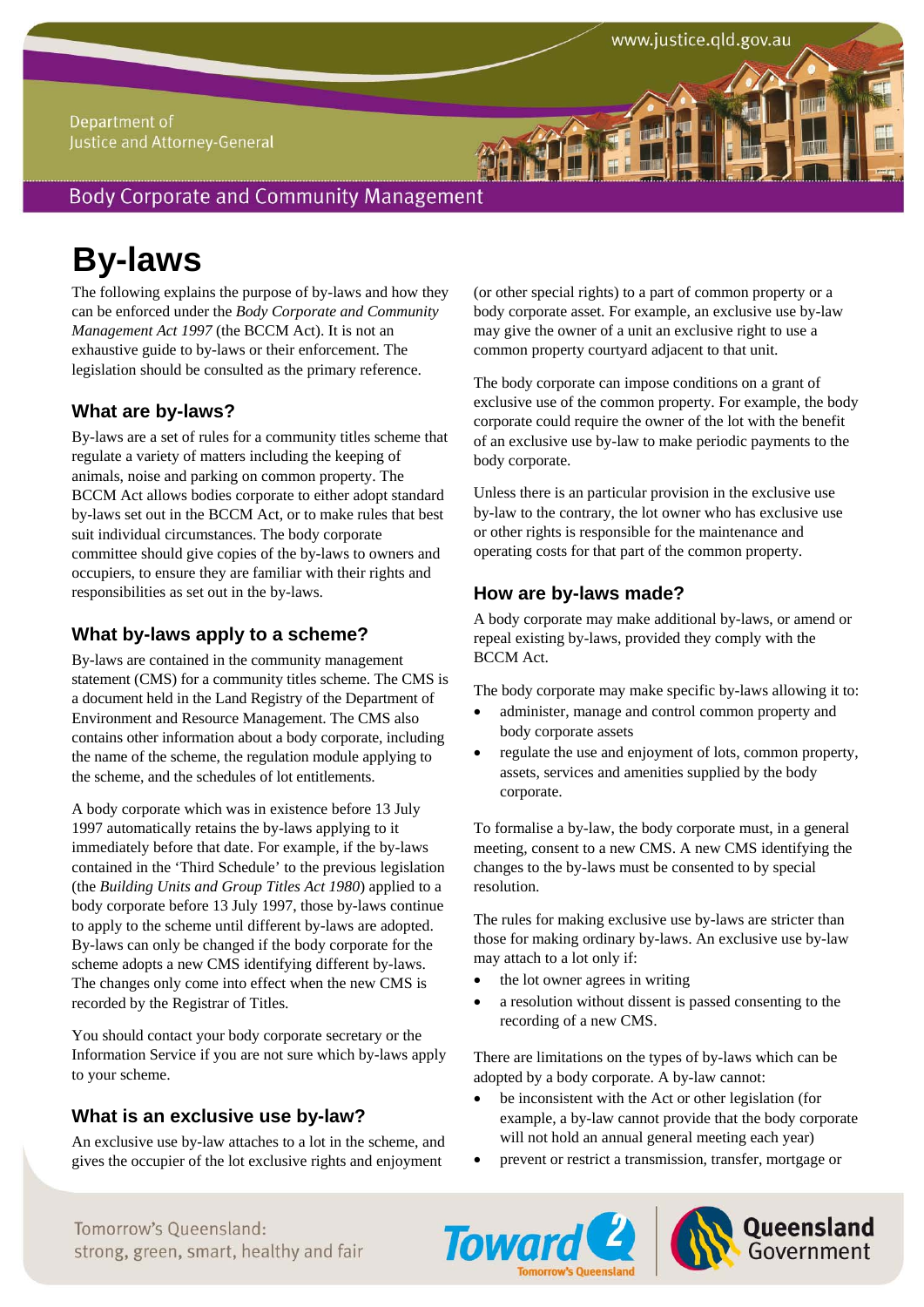## Department of Justice and Attorney-General

# **Body Corporate and Community Management**

# **By-laws**

The following explains the purpose of by-laws and how they can be enforced under the *Body Corporate and Community Management Act 1997* (the BCCM Act). It is not an exhaustive guide to by-laws or their enforcement. The legislation should be consulted as the primary reference.

## **What are by-laws?**

By-laws are a set of rules for a community titles scheme that regulate a variety of matters including the keeping of animals, noise and parking on common property. The BCCM Act allows bodies corporate to either adopt standard by-laws set out in the BCCM Act, or to make rules that best suit individual circumstances. The body corporate committee should give copies of the by-laws to owners and occupiers, to ensure they are familiar with their rights and responsibilities as set out in the by-laws.

## **What by-laws apply to a scheme?**

By-laws are contained in the community management statement (CMS) for a community titles scheme. The CMS is a document held in the Land Registry of the Department of Environment and Resource Management. The CMS also contains other information about a body corporate, including the name of the scheme, the regulation module applying to the scheme, and the schedules of lot entitlements.

A body corporate which was in existence before 13 July 1997 automatically retains the by-laws applying to it immediately before that date. For example, if the by-laws contained in the 'Third Schedule' to the previous legislation (the *Building Units and Group Titles Act 1980*) applied to a body corporate before 13 July 1997, those by-laws continue to apply to the scheme until different by-laws are adopted. By-laws can only be changed if the body corporate for the scheme adopts a new CMS identifying different by-laws. The changes only come into effect when the new CMS is recorded by the Registrar of Titles.

You should contact your body corporate secretary or the Information Service if you are not sure which by-laws apply to your scheme.

## **What is an exclusive use by-law?**

An exclusive use by-law attaches to a lot in the scheme, and gives the occupier of the lot exclusive rights and enjoyment

(or other special rights) to a part of common property or a body corporate asset. For example, an exclusive use by-law may give the owner of a unit an exclusive right to use a common property courtyard adjacent to that unit.

The body corporate can impose conditions on a grant of exclusive use of the common property. For example, the body corporate could require the owner of the lot with the benefit of an exclusive use by-law to make periodic payments to the body corporate.

Unless there is an particular provision in the exclusive use by-law to the contrary, the lot owner who has exclusive use or other rights is responsible for the maintenance and operating costs for that part of the common property.

## **How are by-laws made?**

A body corporate may make additional by-laws, or amend or repeal existing by-laws, provided they comply with the BCCM Act.

The body corporate may make specific by-laws allowing it to:

- administer, manage and control common property and body corporate assets
- regulate the use and enjoyment of lots, common property, assets, services and amenities supplied by the body corporate.

To formalise a by-law, the body corporate must, in a general meeting, consent to a new CMS. A new CMS identifying the changes to the by-laws must be consented to by special resolution.

The rules for making exclusive use by-laws are stricter than those for making ordinary by-laws. An exclusive use by-law may attach to a lot only if:

- the lot owner agrees in writing
- a resolution without dissent is passed consenting to the recording of a new CMS.

There are limitations on the types of by-laws which can be adopted by a body corporate. A by-law cannot:

- be inconsistent with the Act or other legislation (for example, a by-law cannot provide that the body corporate will not hold an annual general meeting each year)
- prevent or restrict a transmission, transfer, mortgage or





Tomorrow's Queensland: Strong, green, smart, healthy and fair **Toward 2 Government** Tomorrow's Oueensland: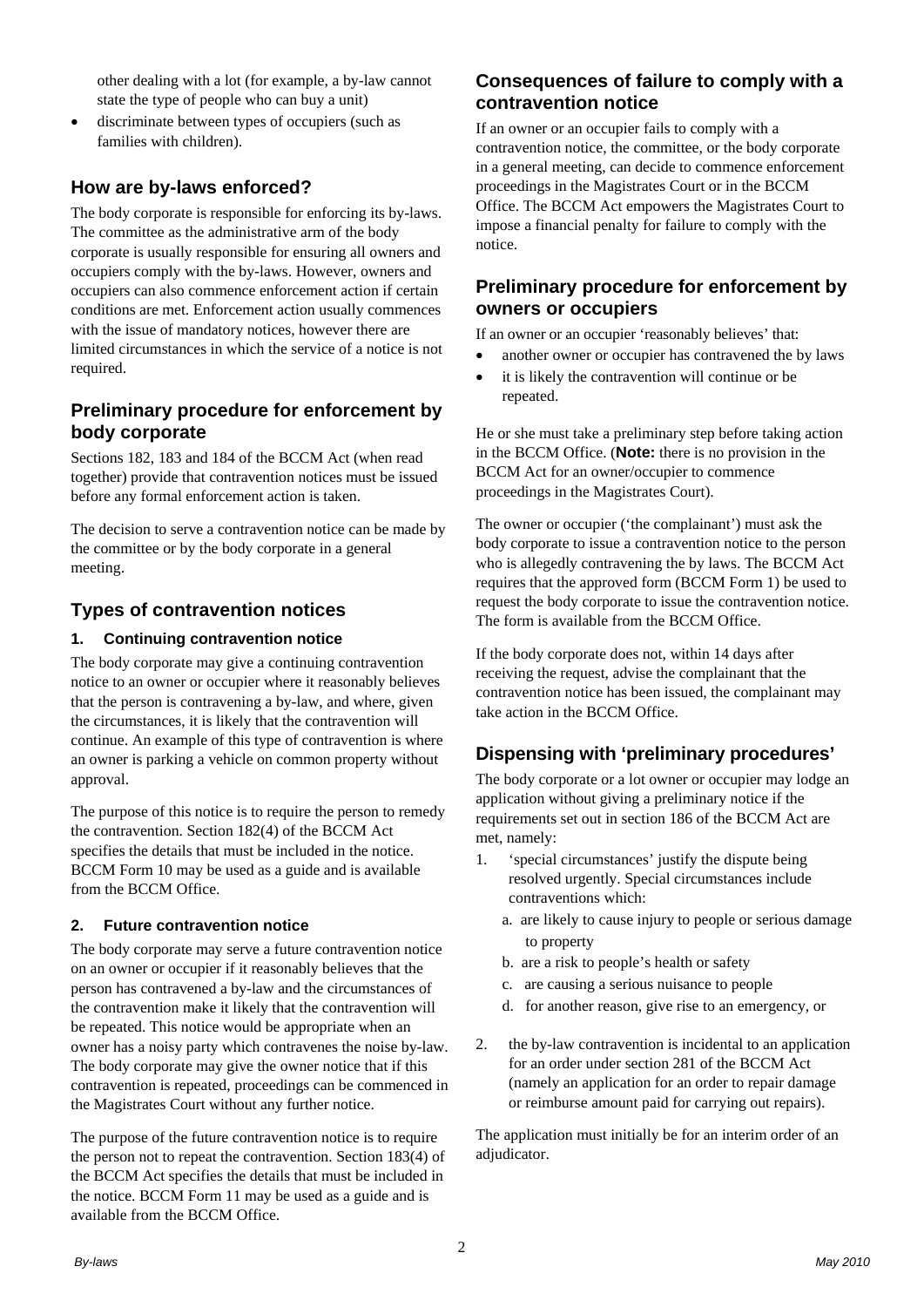other dealing with a lot (for example, a by-law cannot state the type of people who can buy a unit)

 discriminate between types of occupiers (such as families with children).

## **How are by-laws enforced?**

The body corporate is responsible for enforcing its by-laws. The committee as the administrative arm of the body corporate is usually responsible for ensuring all owners and occupiers comply with the by-laws. However, owners and occupiers can also commence enforcement action if certain conditions are met. Enforcement action usually commences with the issue of mandatory notices, however there are limited circumstances in which the service of a notice is not required.

## **Preliminary procedure for enforcement by body corporate**

Sections 182, 183 and 184 of the BCCM Act (when read together) provide that contravention notices must be issued before any formal enforcement action is taken.

The decision to serve a contravention notice can be made by the committee or by the body corporate in a general meeting.

## **Types of contravention notices**

### **1. Continuing contravention notice**

The body corporate may give a continuing contravention notice to an owner or occupier where it reasonably believes that the person is contravening a by-law, and where, given the circumstances, it is likely that the contravention will continue. An example of this type of contravention is where an owner is parking a vehicle on common property without approval.

The purpose of this notice is to require the person to remedy the contravention. Section 182(4) of the BCCM Act specifies the details that must be included in the notice. BCCM Form 10 may be used as a guide and is available from the BCCM Office.

## **2. Future contravention notice**

The body corporate may serve a future contravention notice on an owner or occupier if it reasonably believes that the person has contravened a by-law and the circumstances of the contravention make it likely that the contravention will be repeated. This notice would be appropriate when an owner has a noisy party which contravenes the noise by-law. The body corporate may give the owner notice that if this contravention is repeated, proceedings can be commenced in the Magistrates Court without any further notice.

The purpose of the future contravention notice is to require the person not to repeat the contravention. Section 183(4) of the BCCM Act specifies the details that must be included in the notice. BCCM Form 11 may be used as a guide and is available from the BCCM Office.

## **Consequences of failure to comply with a contravention notice**

If an owner or an occupier fails to comply with a contravention notice, the committee, or the body corporate in a general meeting, can decide to commence enforcement proceedings in the Magistrates Court or in the BCCM Office. The BCCM Act empowers the Magistrates Court to impose a financial penalty for failure to comply with the notice.

## **Preliminary procedure for enforcement by owners or occupiers**

If an owner or an occupier 'reasonably believes' that:

- another owner or occupier has contravened the by laws
- it is likely the contravention will continue or be repeated.

He or she must take a preliminary step before taking action in the BCCM Office. (**Note:** there is no provision in the BCCM Act for an owner/occupier to commence proceedings in the Magistrates Court).

The owner or occupier ('the complainant') must ask the body corporate to issue a contravention notice to the person who is allegedly contravening the by laws. The BCCM Act requires that the approved form (BCCM Form 1) be used to request the body corporate to issue the contravention notice. The form is available from the BCCM Office.

If the body corporate does not, within 14 days after receiving the request, advise the complainant that the contravention notice has been issued, the complainant may take action in the BCCM Office.

## **Dispensing with 'preliminary procedures'**

The body corporate or a lot owner or occupier may lodge an application without giving a preliminary notice if the requirements set out in section 186 of the BCCM Act are met, namely:

- 1. 'special circumstances' justify the dispute being resolved urgently. Special circumstances include contraventions which:
	- a. are likely to cause injury to people or serious damage to property
	- b. are a risk to people's health or safety
	- c. are causing a serious nuisance to people
	- d. for another reason, give rise to an emergency, or
- 2. the by-law contravention is incidental to an application for an order under section 281 of the BCCM Act (namely an application for an order to repair damage or reimburse amount paid for carrying out repairs).

The application must initially be for an interim order of an adjudicator.